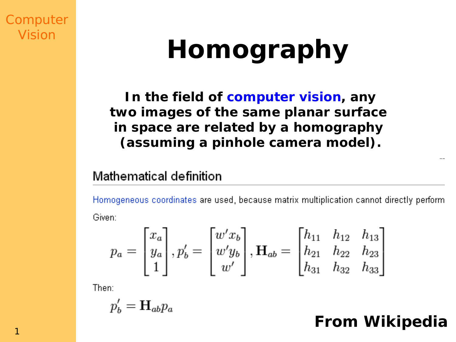**Computer** Vision

# **Homography**

**In the field of computer vision, any two images of the same planar surface in space are related by a homography (assuming a pinhole camera model).**

#### Mathematical definition

Homogeneous coordinates are used, because matrix multiplication cannot directly perform. Given:

$$
p_a = \begin{bmatrix} x_a \\ y_a \\ 1 \end{bmatrix}, p'_b = \begin{bmatrix} w'x_b \\ w'y_b \\ w' \end{bmatrix}, \mathbf{H}_{ab} = \begin{bmatrix} h_{11} & h_{12} & h_{13} \\ h_{21} & h_{22} & h_{23} \\ h_{31} & h_{32} & h_{33} \end{bmatrix}
$$

Then:

$$
p_b' = \mathbf{H}_{ab} p_a
$$

### **From Wikipedia**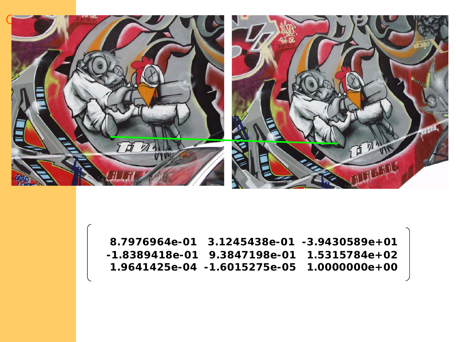

**8.7976964e-01 3.1245438e-01 -3.9430589e+01 -1.8389418e-01 9.3847198e-01 1.5315784e+02 1.9641425e-04 -1.6015275e-05 1.0000000e+00**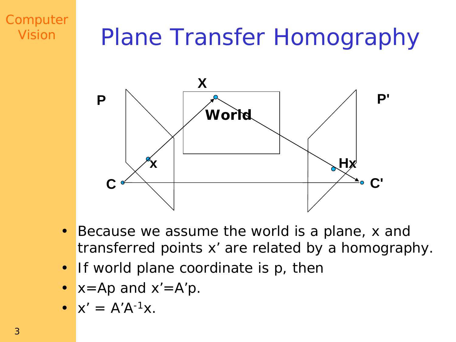## **Plane Transfer Homography**



- Because we assume the world is a plane, x and  $\bullet$ transferred points x' are related by a homography.
- If world plane coordinate is p, then
- $x=Ap$  and  $x'=A'p$ .
- $X' = A'A^{-1}X$ .

Computer

Vision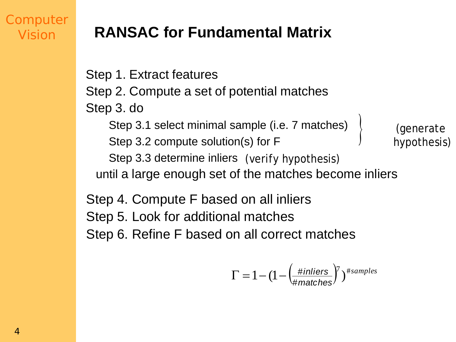### **RANSAC for Fundamental Matrix**

Step 1. Extract features Step 2. Compute a set of potential matches Step 3. do Step 3.1 select minimal sample (i.e. 7 matches) Step 3.2 compute solution(s) for F Step 3.3 determine inliers (verify hypothesis) until a large enough set of the matches become inliers (generate hypothesis)  $\left( \right)$ 

Step 4. Compute F based on all inliers Step 5. Look for additional matches Step 6. Refine F based on all correct matches

$$
\Gamma = 1 - (1 - \left(\frac{\text{#inliers}}{\text{#matches}}\right)^7)^{\text{#samples}}
$$